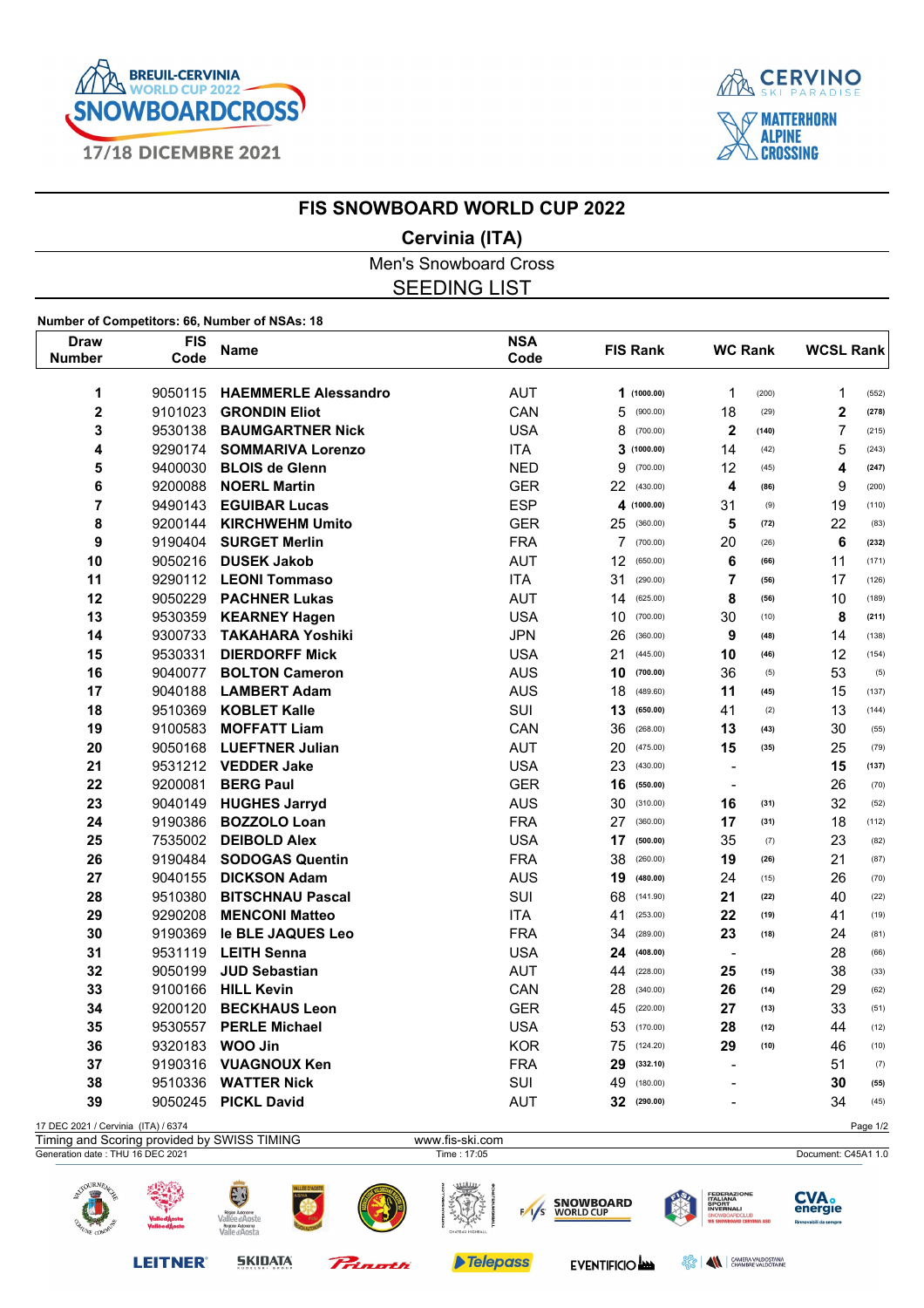



## **FIS SNOWBOARD WORLD CUP 2022**

## **Cervinia (ITA)**

Men's Snowboard Cross SEEDING LIST

## **Number of Competitors: 66, Number of NSAs: 18**

| Draw                                | <b>FIS</b> | <b>Name</b>                 | <b>NSA</b> | <b>FIS Rank</b> | <b>WC Rank</b>           | <b>WCSL Rank</b>        |
|-------------------------------------|------------|-----------------------------|------------|-----------------|--------------------------|-------------------------|
| <b>Number</b>                       | Code       |                             | Code       |                 |                          |                         |
| 1                                   | 9050115    | <b>HAEMMERLE Alessandro</b> | <b>AUT</b> | (1000.00)<br>1  | 1<br>(200)               | $\mathbf{1}$<br>(552)   |
| 2                                   | 9101023    | <b>GRONDIN Eliot</b>        | CAN        | 5<br>(900.00)   | 18<br>(29)               | $\mathbf 2$<br>(278)    |
| 3                                   | 9530138    | <b>BAUMGARTNER Nick</b>     | <b>USA</b> | 8<br>(700.00)   | $\mathbf{2}$<br>(140)    | $\overline{7}$<br>(215) |
| 4                                   | 9290174    | <b>SOMMARIVA Lorenzo</b>    | <b>ITA</b> | 3(1000.00)      | 14<br>(42)               | 5<br>(243)              |
| 5                                   | 9400030    | <b>BLOIS de Glenn</b>       | <b>NED</b> | 9<br>(700.00)   | 12<br>(45)               | 4<br>(247)              |
| 6                                   | 9200088    | <b>NOERL Martin</b>         | <b>GER</b> | 22<br>(430.00)  | 4<br>(86)                | 9<br>(200)              |
| 7                                   | 9490143    | <b>EGUIBAR Lucas</b>        | <b>ESP</b> | 4<br>(1000.00)  | 31<br>(9)                | 19<br>(110)             |
| 8                                   | 9200144    | <b>KIRCHWEHM Umito</b>      | <b>GER</b> | 25<br>(360.00)  | 5<br>(72)                | 22<br>(83)              |
| 9                                   | 9190404    | <b>SURGET Merlin</b>        | <b>FRA</b> | 7<br>(700.00)   | 20<br>(26)               | 6<br>(232)              |
| 10                                  | 9050216    | <b>DUSEK Jakob</b>          | <b>AUT</b> | 12<br>(650.00)  | 6<br>(66)                | 11<br>(171)             |
| 11                                  | 9290112    | <b>LEONI Tommaso</b>        | <b>ITA</b> | 31<br>(290.00)  | $\overline{7}$<br>(56)   | 17<br>(126)             |
| 12                                  | 9050229    | <b>PACHNER Lukas</b>        | <b>AUT</b> | 14<br>(625.00)  | 8<br>(56)                | 10<br>(189)             |
| 13                                  | 9530359    | <b>KEARNEY Hagen</b>        | <b>USA</b> | 10<br>(700.00)  | 30<br>(10)               | 8<br>(211)              |
| 14                                  | 9300733    | <b>TAKAHARA Yoshiki</b>     | <b>JPN</b> | 26<br>(360.00)  | 9<br>(48)                | 14<br>(138)             |
| 15                                  | 9530331    | <b>DIERDORFF Mick</b>       | <b>USA</b> | 21<br>(445.00)  | 10<br>(46)               | 12<br>(154)             |
| 16                                  | 9040077    | <b>BOLTON Cameron</b>       | <b>AUS</b> | 10<br>(700.00)  | 36<br>(5)                | 53<br>(5)               |
| 17                                  | 9040188    | <b>LAMBERT Adam</b>         | <b>AUS</b> | 18<br>(489.60)  | 11<br>(45)               | 15<br>(137)             |
| 18                                  | 9510369    | <b>KOBLET Kalle</b>         | SUI        | 13<br>(650.00)  | 41<br>(2)                | 13<br>(144)             |
| 19                                  | 9100583    | <b>MOFFATT Liam</b>         | CAN        | 36<br>(268.00)  | 13<br>(43)               | 30<br>(55)              |
| 20                                  | 9050168    | <b>LUEFTNER Julian</b>      | <b>AUT</b> | 20<br>(475.00)  | 15<br>(35)               | 25<br>(79)              |
| 21                                  | 9531212    | <b>VEDDER Jake</b>          | <b>USA</b> | 23<br>(430.00)  | $\blacksquare$           | 15<br>(137)             |
| 22                                  | 9200081    | <b>BERG Paul</b>            | <b>GER</b> | 16<br>(550.00)  | $\blacksquare$           | 26<br>(70)              |
| 23                                  | 9040149    | <b>HUGHES Jarryd</b>        | <b>AUS</b> | 30<br>(310.00)  | 16<br>(31)               | 32<br>(52)              |
| 24                                  | 9190386    | <b>BOZZOLO Loan</b>         | <b>FRA</b> | 27<br>(360.00)  | 17<br>(31)               | 18<br>(112)             |
| 25                                  | 7535002    | <b>DEIBOLD Alex</b>         | <b>USA</b> | 17<br>(500.00)  | 35<br>(7)                | 23<br>(82)              |
| 26                                  | 9190484    | <b>SODOGAS Quentin</b>      | <b>FRA</b> | 38<br>(260.00)  | 19<br>(26)               | 21<br>(87)              |
| 27                                  | 9040155    | <b>DICKSON Adam</b>         | <b>AUS</b> | 19<br>(480.00)  | 24<br>(15)               | 26<br>(70)              |
| 28                                  | 9510380    | <b>BITSCHNAU Pascal</b>     | SUI        | 68<br>(141.90)  | 21<br>(22)               | 40<br>(22)              |
| 29                                  | 9290208    | <b>MENCONI Matteo</b>       | <b>ITA</b> | 41<br>(253.00)  | 22<br>(19)               | 41<br>(19)              |
| 30                                  | 9190369    | le BLE JAQUES Leo           | <b>FRA</b> | 34<br>(289.00)  | 23<br>(18)               | 24<br>(81)              |
| 31                                  | 9531119    | <b>LEITH Senna</b>          | <b>USA</b> | 24<br>(408.00)  | $\overline{\phantom{a}}$ | 28<br>(66)              |
| 32                                  | 9050199    | <b>JUD Sebastian</b>        | <b>AUT</b> | 44<br>(228.00)  | 25<br>(15)               | 38<br>(33)              |
| 33                                  | 9100166    | <b>HILL Kevin</b>           | CAN        | 28<br>(340.00)  | 26<br>(14)               | 29<br>(62)              |
| 34                                  | 9200120    | <b>BECKHAUS Leon</b>        | <b>GER</b> | 45<br>(220.00)  | 27<br>(13)               | 33<br>(51)              |
| 35                                  | 9530557    | <b>PERLE Michael</b>        | <b>USA</b> | 53<br>(170.00)  | 28<br>(12)               | 44<br>(12)              |
| 36                                  | 9320183    | <b>WOO Jin</b>              | <b>KOR</b> | 75<br>(124.20)  | 29<br>(10)               | 46<br>(10)              |
| 37                                  | 9190316    | <b>VUAGNOUX Ken</b>         | <b>FRA</b> | 29<br>(332.10)  | $\blacksquare$           | 51<br>(7)               |
| 38                                  | 9510336    | <b>WATTER Nick</b>          | SUI        | 49<br>(180.00)  | $\overline{a}$           | 30<br>(55)              |
| 39                                  | 9050245    | <b>PICKL David</b>          | <b>AUT</b> | 32<br>(290.00)  |                          | 34<br>(45)              |
| 17 DEC 2021 / Cervinia (ITA) / 6374 |            |                             |            |                 |                          | Page 1/2                |



Telepass

EVENTIFICIO

**SKIDATA** 

Princeth

**LEITNER®** 

**BERRY AND CAMERA VALDOSTANA**